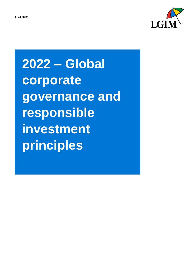



**2022 – Global corporate governance and responsible investment principles**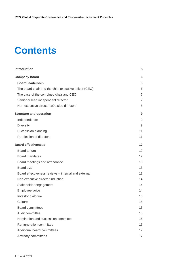# **Contents**

| <b>Introduction</b>                                   | 5               |
|-------------------------------------------------------|-----------------|
| <b>Company board</b>                                  | 6               |
| <b>Board leadership</b>                               | 6               |
| The board chair and the chief executive officer (CEO) | 6               |
| The case of the combined chair and CEO                | $\overline{7}$  |
| Senior or lead independent director                   | 7               |
| Non-executive directors/Outside directors             | 8               |
| <b>Structure and operation</b>                        | 9               |
| Independence                                          | 9               |
| <b>Diversity</b>                                      | 9               |
| Succession planning                                   | 11              |
| Re-election of directors                              | 11              |
| <b>Board effectiveness</b>                            | 12              |
| Board tenure                                          | 12 <sup>2</sup> |
| <b>Board mandates</b>                                 | 12 <sup>2</sup> |
| Board meetings and attendance                         | 13              |
| Board size                                            | 13              |
| Board effectiveness reviews - internal and external   | 13              |
| Non-executive director induction                      | 14              |
| Stakeholder engagement                                | 14              |
| Employee voice                                        | 14              |
| Investor dialogue                                     | 15              |
| Culture                                               | 15              |
| <b>Board committees</b>                               | 15              |
| Audit committee                                       | 15              |
| Nomination and succession committee                   | 16              |
| Remuneration committee                                | 16              |
| Additional board committees                           | 17              |
| Advisory committees                                   | 17              |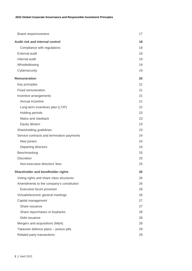| Board responsiveness                       | 17 |
|--------------------------------------------|----|
| Audit risk and internal control            | 18 |
| Compliance with regulations                | 18 |
| <b>External audit</b>                      | 18 |
| Internal audit                             | 19 |
| Whistleblowing                             | 19 |
| Cybersecurity                              | 19 |
| <b>Remuneration</b>                        | 20 |
| Key principles                             | 21 |
| <b>Fixed remuneration</b>                  | 21 |
| Incentive arrangements                     | 21 |
| Annual incentive                           | 21 |
| Long-term incentives plan (LTIP)           | 22 |
| Holding periods                            | 23 |
| Malus and clawback                         | 23 |
| Equity dilution                            | 23 |
| Shareholding guidelines                    | 23 |
| Service contracts and termination payments | 24 |
| New joiners                                | 24 |
| Departing directors                        | 24 |
| Benchmarking                               | 25 |
| <b>Discretion</b>                          | 25 |
| Non-executive directors' fees              | 25 |
| Shareholder and bondholder rights          | 26 |
| Voting rights and share class structures   | 26 |
| Amendments to the company's constitution   | 26 |
| Executive forum provision                  | 26 |
| Virtual/electronic general meetings        | 26 |
| Capital management                         | 27 |
| Share issuance                             | 27 |
| Share repurchases or buybacks              | 28 |
| Debt issuance                              | 28 |
| Mergers and acquisitions (M&A)             | 28 |
| Takeover defence plans - poison pills      | 29 |
| Related party transactions                 | 29 |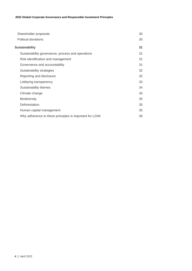| Shareholder proposals                                   | 30 |
|---------------------------------------------------------|----|
| Political donations                                     | 30 |
| <b>Sustainability</b>                                   | 31 |
| Sustainability governance, process and operations       | 31 |
| Risk identification and management                      | 31 |
| Governance and accountability                           | 31 |
| Sustainability strategies                               | 32 |
| Reporting and disclosure                                | 32 |
| Lobbying transparency                                   | 33 |
| Sustainability themes                                   | 34 |
| Climate change                                          | 34 |
| <b>Biodiversity</b>                                     | 35 |
| Deforestation                                           | 35 |
| Human capital management                                | 35 |
| Why adherence to these principles is important for LGIM | 36 |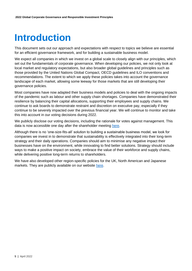## <span id="page-4-0"></span>**Introduction**

This document sets out our approach and expectations with respect to topics we believe are essential for an efficient governance framework, and for building a sustainable business model.

We expect all companies in which we invest on a global scale to closely align with our principles, which set out the fundamentals of corporate governance. When developing our policies, we not only look at local market and regulatory expectations, but also broader global guidelines and principles such as those provided by the United Nations Global Compact, OECD guidelines and ILO conventions and recommendations. The extent to which we apply these policies takes into account the governance landscape of each market, allowing some leeway for those markets that are still developing their governance policies.

Most companies have now adapted their business models and policies to deal with the ongoing impacts of the pandemic such as labour and other supply chain shortages. Companies have demonstrated their resilience by balancing their capital allocations, supporting their employees and supply chains. We continue to ask boards to demonstrate restraint and discretion on executive pay, especially if they continue to be severely impacted over the previous financial year. We will continue to monitor and take this into account in our voting decisions during 2022.

We publicly disclose our voting decisions, including the rationale for votes against management. This data is now accessible one day after the shareholder meeting [here.](https://vds.issgovernance.com/vds/#/MjU2NQ==/)

Although there is no 'one-size-fits-all' solution to building a sustainable business model, we look for companies we invest in to demonstrate that sustainability is effectively integrated into their long-term strategy and their daily operations. Companies should aim to minimise any negative impact their businesses have on the environment, while innovating to find better solutions. Strategy should include ways to make a positive impact on society, embrace the value of their workforce and supply chains, while delivering positive long-term returns to shareholders.

We have also developed other region-specific policies for the UK, North American and Japanese markets. They are publicly available on our website [here.](https://www.lgim.com/uk/en/capabilities/investment-stewardship/)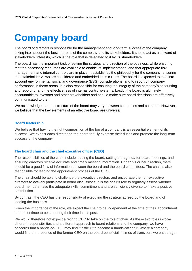## <span id="page-5-0"></span>**Company board**

The board of directors is responsible for the management and long-term success of the company, taking into account the best interests of the company and its stakeholders. It should act as a steward of stakeholders' interests, which is the role that is delegated to it by its shareholders.

The board has the important task of setting the strategy and direction of the business, while ensuring that the necessary resources are available to enable its implementation, and that appropriate risk management and internal controls are in place. It establishes the philosophy for the company, ensuring that stakeholder views are considered and embedded in its culture. The board is expected to take into account environmental, social and governance (ESG) considerations, and to report on company performance in these areas. It is also responsible for ensuring the integrity of the company's accounting and reporting, and the effectiveness of internal control systems. Lastly, the board is ultimately accountable to investors and other stakeholders and should make sure board decisions are effectively communicated to them.

We acknowledge that the structure of the board may vary between companies and countries. However, we believe that the key elements of an effective board are universal.

### <span id="page-5-1"></span>**Board leadership**

We believe that having the right composition at the top of a company is an essential element of its success. We expect each director on the board to fully exercise their duties and promote the long-term success of the company.

#### <span id="page-5-2"></span>**The board chair and the chief executive officer (CEO)**

The responsibilities of the chair include leading the board, setting the agenda for board meetings, and ensuring directors receive accurate and timely meeting information. Under his or her direction, there should be a good flow of information between the board and the board committees. The chair is also responsible for leading the appointment process of the CEO.

The chair should be able to challenge the executive directors and encourage the non-executive directors to actively participate in board discussions. It is the chair's role to regularly assess whether board members have the adequate skills, commitment and are sufficiently diverse to make a positive contribution.

By contrast, the CEO has the responsibility of executing the strategy agreed by the board and of leading the business.

Given the importance of the role, we expect the chair to be independent at the time of their appointment and to continue to be so during their time in this post.

We would therefore not expect a retiring CEO to take on the role of chair. As these two roles involve different responsibilities and a different approach to board relations and the company, we have concerns that a hands-on CEO may find it difficult to become a hands-off chair. Where a company would find the presence of the former CEO on the board beneficial in times of transition, we encourage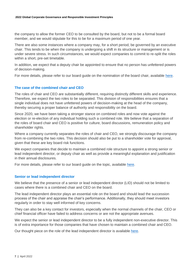the company to allow the former CEO to be consulted by the board, but not to be a formal board member, and we would stipulate for this to be for a maximum period of one year.

There are also some instances where a company may, for a short period, be governed by an executive chair. This tends to be when the company is undergoing a shift in its structure or management or is under severe stress. In such circumstances, we would expect companies to commit to re-split the roles within a short, pre-set timetable.

In addition, we expect that a deputy chair be appointed to ensure that no person has unfettered powers of decision-making.

For more details, please refer to our board guide on the nomination of the board chair, available [here.](https://www.lgim.com/landg-assets/lgim/_document-library/capabilities/a-guide-to-the-nomination-of-board-chairs.pdf)

## <span id="page-6-0"></span>**The case of the combined chair and CEO**

The roles of chair and CEO are substantially different, requiring distinctly different skills and experience. Therefore, we expect the two roles to be separated. This division of responsibilities ensures that a single individual does not have unfettered powers of decision-making at the head of the company, thereby securing a proper balance of authority and responsibility on the board.

Since 2020, we have been taking a stronger stance on combined roles and now vote against the election or re-election of any individual holding such a combined role. We believe that a separation of the roles of board chair and CEO is positive for culture, board discussions, remuneration policy and shareholder rights.

Where a company currently separates the roles of chair and CEO, we strongly discourage the company from re-combining the two roles. This decision should also be put to a shareholder vote for approval, given that these are key board risk functions.

We expect companies that decide to maintain a combined role structure to appoint a strong senior or lead independent director, or deputy chair as well as provide a meaningful explanation and justification in their annual disclosures.

For more details, please refer to our board guide on the topic, available [here.](https://www.lgim.com/landg-assets/lgim/_document-library/capabilities/separating-the-roles-of-ceo-and-board-chair.pdf)

## <span id="page-6-1"></span>**Senior or lead independent director**

We believe that the presence of a senior or lead independent director (LID) should not be limited to cases where there is a combined chair and CEO on the board.

The lead independent director plays an essential role on the board and should lead the succession process of the chair and appraise the chair's performance. Additionally, they should meet investors regularly in order to stay well informed of key concerns.

They can also be a key contact for investors, especially when the normal channels of the chair, CEO or chief financial officer have failed to address concerns or are not the appropriate avenues.

We expect the senior or lead independent director to be a fully independent non-executive director. This is of extra importance for those companies that have chosen to maintain a combined chair and CEO.

Our thought piece on the role of the lead independent director is available [here.](https://www.lgim.com/landg-assets/lgim/_document-library/capabilities/the-role-of-the-lead-independent-director.pdf)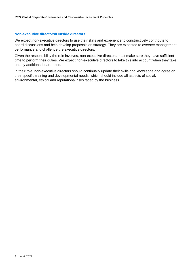#### <span id="page-7-0"></span>**Non-executive directors/Outside directors**

We expect non-executive directors to use their skills and experience to constructively contribute to board discussions and help develop proposals on strategy. They are expected to oversee management performance and challenge the executive directors.

Given the responsibility the role involves, non-executive directors must make sure they have sufficient time to perform their duties. We expect non-executive directors to take this into account when they take on any additional board roles.

In their role, non-executive directors should continually update their skills and knowledge and agree on their specific training and developmental needs, which should include all aspects of social, environmental, ethical and reputational risks faced by the business.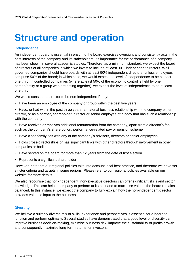## <span id="page-8-0"></span>**Structure and operation**

#### <span id="page-8-1"></span>**Independence**

An independent board is essential in ensuring the board exercises oversight and consistently acts in the best interests of the company and its stakeholders. Its importance for the performance of a company has been shown in several academic studies. Therefore, as a minimum standard, we expect the board of directors of all companies in which we invest to include at least 30% independent directors. Well governed companies should have boards with at least 50% independent directors unless employees comprise 50% of the board; in which case, we would expect the level of independence to be at least one third. In controlled companies (where at least 50% of the economic control is held by one person/entity or a group who are acting together), we expect the level of independence to be at least one third.

We would consider a director to be non-independent if they:

- Have been an employee of the company or group within the past five years
- Have, or had within the past three years, a material business relationship with the company either directly, or as a partner, shareholder, director or senior employee of a body that has such a relationship with the company
- Have received or receives additional remuneration from the company, apart from a director's fee, such as the company's share option, performance-related pay or pension scheme
- Have close family ties with any of the company's advisers, directors or senior employees
- Holds cross-directorships or has significant links with other directors through involvement in other companies or bodies
- Have served on the board for more than 12 years from the date of first election
- Represents a significant shareholder

However, note that our regional policies take into account local best practice, and therefore we have set stricter criteria and targets in some regions. Please refer to our regional policies available on our website for more details.

We also recognise that non-independent, non-executive directors can offer significant skills and sector knowledge. This can help a company to perform at its best and to maximise value if the board remains balanced. In this instance, we expect the company to fully explain how the non-independent director provides valuable input to the business.

#### <span id="page-8-2"></span>**Diversity**

We believe a suitably diverse mix of skills, experience and perspectives is essential for a board to function and perform optimally. Several studies have demonstrated that a good level of diversity can improve business decision-making, minimise business risk, improve the sustainability of profits growth and consequently maximise long-term returns for investors.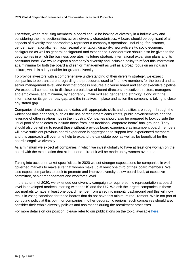Therefore, when recruiting members, a board should be looking at diversity in a holistic way and considering the intersectionalities across diversity characteristics. A board should be cognisant of all aspects of diversity that appropriately represent a company's operations, including, for instance, gender, age, nationality, ethnicity, sexual orientation, disability, neuro-diversity, socio economic background as well as general background and experience. Consideration should also be given to the geographies in which the business operates, its future strategic international expansion plans and its consumer base. We would expect a company's diversity and inclusion policy to reflect this information at a minimum for both the board and senior management as well as a broad focus on an inclusive culture, which is a key enabler for greater diversity.

To provide investors with a comprehensive understanding of their diversity strategy, we expect companies to be transparent regarding the procedures used to find new members for the board and at senior management level, and how that process ensures a diverse board and senior executive pipeline. We expect all companies to disclose a breakdown of board directors, executive directors, managers and employees, at a minimum, by geography, main skill set, gender and ethnicity, along with the information on its gender pay gap, and the initiatives in place and action the company is taking to close any stated gap.

Companies should ensure that candidates with appropriate skills and qualities are sought through the widest possible channels, such as the use of recruitment consultants, public advertisements and the leverage of other relationships in the industry. Companies should also be prepared to look outside the usual pool of candidates to include those from less traditional 'corporate board' backgrounds. They should also be willing to recruit those without previous board experience as incumbent board members will have sufficient previous board experience in aggregation to support less experienced members, and this approach will over time help to expand the candidate pool as well as be beneficial for the board's cognitive diversity.

As a minimum we expect all companies in which we invest globally to have at least one woman on the board with the expectation that at least one-third of it will be made up by women over time

Taking into account market specificities, in 2020 we set stronger expectations for companies in wellgoverned markets to make sure that women make up at least one third of their board members. We also expect companies to seek to promote and improve diversity below board level, at executive committee, senior management and workforce level.

In the autumn of 2020, we extended our diversity campaign to require ethnic representation at board level in developed markets, starting with the US and the UK. We ask the largest companies in these two markets to have at least one board member from an ethnic minority background and this will now result in voting sanctions for those boards that do not have this minimum requirement. While not part of our voting policy at this point for companies in other geographic regions, such companies should also consider their ethnic diversity policies and aspirations during the recruitment processes.

For more details on our position, please refer to our publications on the topic, available [here.](https://www.lgim.com/uk/en/capabilities/investment-stewardship/influencing-the-debate/)

.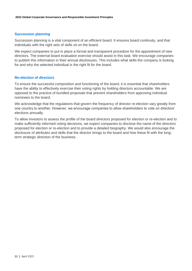## <span id="page-10-0"></span>**Succession planning**

Succession planning is a vital component of an efficient board. It ensures board continuity, and that individuals with the right sets of skills sit on the board.

We expect companies to put in place a formal and transparent procedure for the appointment of new directors. The external board evaluation exercise should assist in this task. We encourage companies to publish this information in their annual disclosures. This includes what skills the company is looking for and why the selected individual is the right fit for the board.

## <span id="page-10-1"></span>**Re-election of directors**

To ensure the successful composition and functioning of the board, it is essential that shareholders have the ability to effectively exercise their voting rights by holding directors accountable. We are opposed to the practice of bundled proposals that prevent shareholders from approving individual nominees to the board.

We acknowledge that the regulations that govern the frequency of director re-election vary greatly from one country to another. However, we encourage companies to allow shareholders to vote on directors' elections annually.

To allow investors to assess the profile of the board directors proposed for election or re-election and to make sufficiently informed voting decisions, we expect companies to disclose the name of the directors proposed for election or re-election and to provide a detailed biography. We would also encourage the disclosure of attributes and skills that the director brings to the board and how these fit with the longterm strategic direction of the business.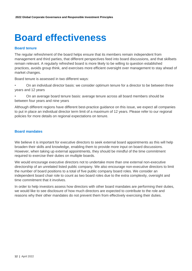## <span id="page-11-0"></span>**Board effectiveness**

#### <span id="page-11-1"></span>**Board tenure**

The regular refreshment of the board helps ensure that its members remain independent from management and third parties, that different perspectives feed into board discussions, and that skillsets remain relevant. A regularly refreshed board is more likely to be willing to question established practices, avoids group think, and exercises more efficient oversight over management to stay ahead of market changes.

Board tenure is assessed in two different ways:

• On an individual director basis: we consider optimum tenure for a director to be between three years and 12 years

• On an average board tenure basis: average tenure across all board members should be between four years and nine years

Although different regions have different best-practice guidance on this issue, we expect all companies to put in place an individual director term limit of a maximum of 12 years. Please refer to our regional policies for more details on regional expectations on tenure.

#### <span id="page-11-2"></span>**Board mandates**

We believe it is important for executive directors to seek external board appointments as this will help broaden their skills and knowledge, enabling them to provide more input on board discussions. However, when taking up external appointments, they should be mindful of the time commitment required to exercise their duties on multiple boards.

We would encourage executive directors not to undertake more than one external non-executive directorship of an unrelated listed public company. We also encourage non-executive directors to limit the number of board positions to a total of five public company board roles. We consider an independent board chair role to count as two board roles due to the extra complexity, oversight and time commitment that it involves.

In order to help investors assess how directors with other board mandates are performing their duties, we would like to see disclosure of how much directors are expected to contribute to the role and reasons why their other mandates do not prevent them from effectively exercising their duties.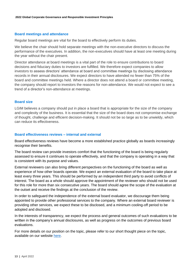### <span id="page-12-0"></span>**Board meetings and attendance**

Regular board meetings are vital for the board to effectively perform its duties.

We believe the chair should hold separate meetings with the non-executive directors to discuss the performance of the executives. In addition, the non-executives should have at least one meeting during the year without the chair present.

Director attendance at board meetings is a vital part of the role to ensure contributions to board decisions and fiduciary duties to investors are fulfilled. We therefore expect companies to allow investors to assess directors' attendance at board and committee meetings by disclosing attendance records in their annual disclosures. We expect directors to have attended no fewer than 75% of the board and committee meetings held. Where a director does not attend a board or committee meeting, the company should report to investors the reasons for non-attendance. We would not expect to see a trend of a director's non-attendance at meetings.

### <span id="page-12-1"></span>**Board size**

LGIM believes a company should put in place a board that is appropriate for the size of the company and complexity of the business. It is essential that the size of the board does not compromise exchange of thought, challenge and efficient decision-making. It should not be so large as to be unwieldy, which can reduce its effectiveness.

#### <span id="page-12-2"></span>**Board effectiveness reviews – internal and external**

Board effectiveness reviews have become a more established practice globally as boards increasingly recognise their benefits.

The board review can provide investors comfort that the functioning of the board is being regularly assessed to ensure it continues to operate effectively, and that the company is operating in a way that is consistent with its purpose and values.

External reviewers can also bring different perspectives on the functioning of the board as well as experience of how other boards operate. We expect an external evaluation of the board to take place at least every three years. This should be performed by an independent third party to avoid conflicts of interest. The board as a whole should approve the appointment of the reviewer who should not be used for this role for more than six consecutive years. The board should agree the scope of the evaluation at the outset and receive the findings at the conclusion of the review.

In order to safeguard the independence of the external board evaluator, we discourage them being appointed to provide other professional services to the company. Where an external board reviewer is providing other services, we expect these to be disclosed, and a minimum cooling-off period to be adopted and disclosed.

In the interests of transparency, we expect the process and general outcomes of such evaluations to be written in the company's annual disclosures, as well as progress on the outcomes of previous board evaluations.

For more details on our position on the topic, please refer to our short thought piece on the topic, available on our website [here.](https://www.lgim.com/landg-assets/lgim/_document-library/capabilities/board-effectiveness-reviews.pdf)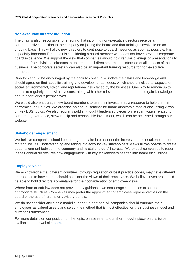### <span id="page-13-0"></span>**Non-executive director induction**

The chair is also responsible for ensuring that incoming non-executive directors receive a comprehensive induction to the company on joining the board and that training is available on an ongoing basis. This will allow new directors to contribute to board meetings as soon as possible. It is especially important if the chair is considering a board member who does not have previous corporate board experience. We support the view that companies should hold regular briefings or presentations to the board from divisional directors to ensure that all directors are kept informed of all aspects of the business. The corporate secretary can also be an important training resource for non-executive directors.

Directors should be encouraged by the chair to continually update their skills and knowledge and should agree on their specific training and developmental needs, which should include all aspects of social, environmental, ethical and reputational risks faced by the business. One way to remain up to date is to regularly meet with investors, along with other relevant board members, to gain knowledge and to hear various perspectives.

We would also encourage new board members to use their investors as a resource to help them in performing their duties. We organise an annual seminar for board directors aimed at discussing views on key ESG topics. We also regularly publish thought leadership pieces on relevant topics related to corporate governance, stewardship and responsible investment, which can be accessed through our website.

#### <span id="page-13-1"></span>**Stakeholder engagement**

We believe companies should be managed to take into account the interests of their stakeholders on material issues. Understanding and taking into account key stakeholders' views allows boards to create better alignment between the company and its stakeholders' interests. We expect companies to report in their annual disclosures how engagement with key stakeholders has fed into board discussions.

#### <span id="page-13-2"></span>**Employee voice**

We acknowledge that different countries, through regulation or best practice codes, may have different approaches to how boards should consider the views of their employees. We believe investors should be able to hold directors accountable for their consideration of employee views.

Where hard or soft law does not provide any guidance, we encourage companies to set up an appropriate structure. Companies may prefer the appointment of employee representatives on the board or the use of forums or advisory panels.

We do not consider any single model superior to another. All companies should embrace their employees as valued assets and select the method that is most effective for their business model and current circumstances.

For more details on our position on the topic, please refer to our short thought piece on this issue, available on our website [here.](https://www.lgim.com/landg-assets/lgim/_document-library/capabilities/a-guide-to-effective-employee-engagement.pdf)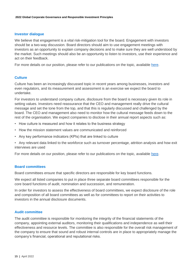#### <span id="page-14-0"></span>**Investor dialogue**

We believe that engagement is a vital risk-mitigation tool for the board. Engagement with investors should be a two-way discussion. Board directors should aim to use engagement meetings with investors as an opportunity to explain company decisions and to make sure they are well understood by the market. Such meetings should also be an opportunity to listen to investors, use their experience and act on their feedback.

For more details on our position, please refer to our publications on the topic, available [here.](https://www.lgim.com/landg-assets/lgim/_document-library/capabilities/lgim-guide-to-board-investor-dialogue.pdf)

## <span id="page-14-1"></span>**Culture**

Culture has been an increasingly discussed topic in recent years among businesses, investors and even regulators, and its measurement and assessment is an exercise we expect the board to undertake.

For investors to understand company culture, disclosure from the board is necessary given its role in setting values. Investors need reassurance that the CEO and management really drive the cultural message and set the tone from the top, and that this is regularly discussed and challenged by the board. The CEO and management also need to monitor how the cultural message feeds down to the rest of the organisation. We expect companies to disclose in their annual report aspects such as:

- How culture is measured and how it relates to the business strategy
- How the mission statement values are communicated and reinforced
- Any key performance indicators (KPIs) that are linked to culture
- Any relevant data linked to the workforce such as turnover percentage, attrition analysis and how exit interviews are used

For more details on our position, please refer to our publications on the topic, available [here.](https://www.lgim.com/landg-assets/lgim/_document-library/capabilities/understanding-corporate-culture-brochure.pdf)

## <span id="page-14-2"></span>**Board committees**

Board committees ensure that specific directors are responsible for key board functions.

We expect all listed companies to put in place three separate board committees responsible for the core board functions of audit, nomination and succession, and remuneration.

In order for investors to assess the effectiveness of board committees, we expect disclosure of the role and composition of all board committees as well as for committees to report on their activities to investors in the annual disclosure documents.

## <span id="page-14-3"></span>**Audit committee**

The audit committee is responsible for monitoring the integrity of the financial statements of the company, appointing external auditors, monitoring their qualifications and independence as well their effectiveness and resource levels. The committee is also responsible for the overall risk management of the company to ensure that sound and robust internal controls are in place to appropriately manage the company's financial, operational and reputational risks.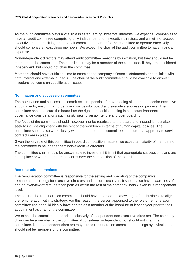As the audit committee plays a vital role in safeguarding investors' interests, we expect all companies to have an audit committee comprising only independent non-executive directors, and we will not accept executive members sitting on the audit committee. In order for the committee to operate effectively it should comprise at least three members. We expect the chair of the audit committee to have financial expertise.

Non-independent directors may attend audit committee meetings by invitation, but they should not be members of the committee. The board chair may be a member of the committee, if they are considered independent, but should not chair the committee.

Members should have sufficient time to examine the company's financial statements and to liaise with both internal and external auditors. The chair of the audit committee should be available to answer investors' concerns on specific audit issues.

### <span id="page-15-0"></span>**Nomination and succession committee**

The nomination and succession committee is responsible for overseeing all board and senior executive appointments, ensuring an orderly and successful board and executive succession process. The committee should ensure the board has the right composition, taking into account important governance considerations such as skillsets, diversity, tenure and over-boarding.

The focus of the committee should, however, not be restricted to the board and instead it must also seek to include alignment with the rest of the workforce in terms of human capital policies. The committee should also work closely with the remuneration committee to ensure that appropriate service contracts are in place.

Given the key role of this committee in board composition matters, we expect a majority of members on the committee to be independent non-executive directors.

The committee chair should be answerable to investors if it is felt that appropriate succession plans are not in place or where there are concerns over the composition of the board.

#### <span id="page-15-1"></span>**Remuneration committee**

The remuneration committee is responsible for the setting and operating of the company's remuneration strategy for executive directors and senior executives. It should also have awareness of and an overview of remuneration policies within the rest of the company, below executive management level.

The chair of the remuneration committee should have appropriate knowledge of the business to align the remuneration with its strategy. For this reason, the person appointed to the role of remuneration committee chair should ideally have served as a member of the board for at least a year prior to their appointment as chair of the committee.

We expect the committee to consist exclusively of independent non-executive directors. The company chair can be a member of the committee, if considered independent, but should not chair the committee. Non-independent directors may attend remuneration committee meetings by invitation, but should not be members of the committee.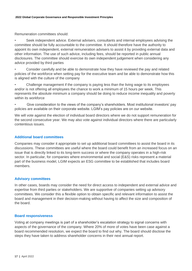Remuneration committees should:

• Seek independent advice. External advisers, consultants and internal employees advising the committee should be fully accountable to the committee. It should therefore have the authority to appoint its own independent, external remuneration advisers to assist it by providing external data and other information. The use of such advice, including fees, should be reported in public annual disclosures. The committee should exercise its own independent judgement when considering any advice provided by third parties

• Consider carefully and be able to demonstrate how they have reviewed the pay and related policies of the workforce when setting pay for the executive team and be able to demonstrate how this is aligned with the culture of the company

• Challenge management if the company is paying less than the living wage to its employees and/or is not offering all employees the chance to work a minimum of 15 hours per week. This represents the absolute minimum a company should be doing to reduce income inequality and poverty within its workforce

• Give consideration to the views of the company's shareholders. Most institutional investors' pay policies are available on their corporate website. LGIM's pay policies are on our website.

We will vote against the election of individual board directors where we do not support remuneration for the second consecutive year. We may also vote against individual directors where there are particularly contentious issues.

## <span id="page-16-0"></span>**Additional board committees**

Companies may consider it appropriate to set up additional board committees to assist the board in its discussions. These committees are useful where the board could benefit from an increased focus on an issue that is directly linked to its long-term success or where the company operates in a high-risk sector. In particular, for companies where environmental and social (E&S) risks represent a material part of the business model, LGIM expects an ESG committee to be established that includes board members.

## <span id="page-16-1"></span>**Advisory committees**

In other cases, boards may consider the need for direct access to independent and external advice and expertise from third parties or stakeholders. We are supportive of companies setting up advisory committees. We consider this a flexible option to obtain specific and relevant information to assist the board and management in their decision-making without having to affect the size and composition of the board.

## <span id="page-16-2"></span>**Board responsiveness**

Voting at company meetings is part of a shareholder's escalation strategy to signal concerns with aspects of the governance of the company. Where 20% of more of votes have been case against a board recommended resolution, we expect the board to find out why. The board should disclose the steps they have taken to address shareholder concerns in their next annual report.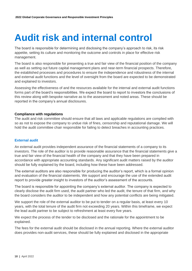## <span id="page-17-0"></span>**Audit risk and internal control**

The board is responsible for determining and disclosing the company's approach to risk, its risk appetite, setting its culture and monitoring the outcome and controls in place for effective risk management.

The board is also responsible for presenting a true and fair view of the financial position of the company as well as setting out future capital management plans and near-term financial prospects. Therefore, the established processes and procedures to ensure the independence and robustness of the internal and external audit functions and the level of oversight from the board are expected to be demonstrated and explained to investors.

Assessing the effectiveness of and the resources available for the internal and external audit functions forms part of the board's responsibilities. We expect the board to report to investors the conclusions of this review along with bespoke narrative as to the assessment and noted areas. These should be reported in the company's annual disclosures.

### <span id="page-17-1"></span>**Compliance with regulations**

The audit and risk committee should ensure that all laws and applicable regulations are complied with so as not to expose the company to undue risk of fines, censorship and reputational damage. We will hold the audit committee chair responsible for failing to detect breaches in accounting practices.

## <span id="page-17-2"></span>**External audit**

An external audit provides independent assurance of the financial statements of a company to its investors. The role of the auditor is to provide reasonable assurance that the financial statements give a true and fair view of the financial health of the company and that they have been prepared in accordance with appropriate accounting standards. Any significant audit matters raised by the auditor should be fully explained by the board, including how these have been addressed.

The external auditors are also responsible for producing the auditor's report, which is a formal opinion and evaluation of the financial statements. We support and encourage the use of the extended audit report to provide greater insight to investors of the auditor's assessment of the accounts.

The board is responsible for appointing the company's external auditor. The company is expected to clearly disclose the audit firm used, the audit partner who led the audit, the tenure of that firm, and why the board considers the auditor to be independent and how any potential conflicts are being mitigated.

We support the role of the external auditor to be put to tender on a regular basis, at least every 10 years, with the total tenure of the audit firm not exceeding 20 years. Within this timeframe, we expect the lead audit partner to be subject to refreshment at least every five years.

We expect the process of the tender to be disclosed and the rationale for the appointment to be explained.

The fees for the external audit should be disclosed in the annual reporting. Where the external auditor does provides non-audit services, these should be fully explained and disclosed in the appropriate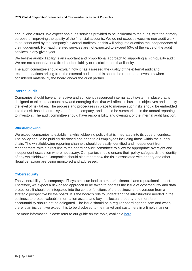annual disclosures. We expect non audit services provided to be incidental to the audit, with the primary purpose of improving the quality of the financial accounts. We do not expect excessive non-audit work to be conducted by the company's external auditors, as this will bring into question the independence of their judgement. Non-audit related services are not expected to exceed 50% of the value of the audit services in any given year.

We believe auditor liability is an important and proportional approach to supporting a high-quality audit. We are not supportive of a fixed auditor liability or restrictions on that liability.

The audit committee should explain how it has assessed the quality of the external audit and recommendations arising from the external audit, and this should be reported to investors when considered material by the board and/or the audit partner.

### <span id="page-18-0"></span>**Internal audit**

Companies should have an effective and sufficiently resourced internal audit system in place that is designed to take into account new and emerging risks that will affect its business objectives and identify the level of risk taken. The process and procedures in place to manage such risks should be embedded into the risk-based control system for the company, and should be summarised in the annual reporting to investors. The audit committee should have responsibility and oversight of the internal audit function.

## <span id="page-18-1"></span>**Whistleblowing**

We expect companies to establish a whistleblowing policy that is integrated into its code of conduct. The policy should be publicly disclosed and open to all employees including those within the supply chain. The whistleblowing reporting channels should be easily identified and independent from management, with a direct line to the board or audit committee to allow for appropriate oversight and independent escalation where necessary. Companies should ensure their policy safeguards the identity of any whistleblower. Companies should also report how the risks associated with bribery and other illegal behaviour are being monitored and addressed.

## <span id="page-18-2"></span>**Cybersecurity**

The vulnerability of a company's IT systems can lead to a material financial and reputational impact. Therefore, we expect a risk-based approach to be taken to address the issue of cybersecurity and data protection. It should be integrated into the control functions of the business and overseen from a strategic perspective by the board. It is the board's role to understand the infrastructure needed in the business to protect valuable information assets and key intellectual property and therefore accountability should not be delegated. The issue should be a regular board agenda item and when there is an incident we expect this to be disclosed to the market and customers in a timely manner.

For more information, please refer to our guide on the topic, available [here.](https://www.lgim.com/landg-assets/lgim/_document-library/capabilities/corporate-governance/data-security-and-privacy.pdf)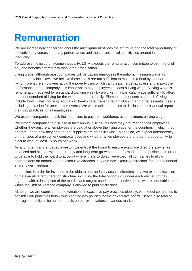## <span id="page-19-0"></span>**Remuneration**

We are increasingly concerned about the misalignment of both the structure and the total opportunity of executive pay versus company performance, and the current social sensitivities around income inequality.

To address the issue of income inequality, LGIM expects the remuneration committee to be mindful of pay and benefits offered throughout the organisation.

Living wage: although most companies will be paying employees the national minimum wage as mandated by local laws, we believe these levels are not sufficient to maintain a healthy standard of living. To ensure employees avoid the poverty trap, which can create hardship, stress and impact the performance of the company, it is important to pay employees at least a living wage. A living wage is remuneration received for a standard working week by a worker in a particular place sufficient to afford a decent standard of living for the worker and their family. Elements of a decent standard of living include food, water, housing, education, health care, transportation, clothing and other essential needs including provision for unexpected events. We would ask companies to disclose in their annual report their pay practices for all employees.

We expect companies to ask their suppliers to pay their workforce, as a minimum, a living wage.

We expect companies to disclose in their annual disclosures how they are treating their employees; whether they ensure all employees are paid at or above the living wage for the countries in which they operate; If and how they ensure that suppliers are doing likewise. In addition, we expect transparency on the types of employment contracts used and whether all employees are offered the opportunity to elect to work at least 15 hours per week.

As a long-term and engaged investor, we entrust the board to ensure executive directors' pay is fair, balanced and aligned with the strategy and long-term growth and performance of the business. In order to be able to hold the board to account where it fails to do so, we expect all companies to allow shareholders an annual vote on executive directors' pay and non-executive directors' fees at the annual shareholder meetings.

In addition, in order for investors to be able to appropriately assess directors' pay, we expect disclosure of the executive remuneration structure, including the total opportunity under each element of pay together with a description of the metrics and targets used under incentive plans, where applicable, and within the limit of what the company is allowed to publicly disclose.

Although we are cognisant of the variations in executive pay practices globally, we expect companies to consider our principles below when setting pay policies for their executive board. Please also refer to our regional policies for further details on our expectations in various markets.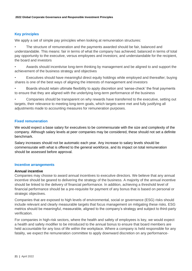## <span id="page-20-0"></span>**Key principles**

We apply a set of simple pay principles when looking at remuneration structures:

• The structure of remuneration and the payments awarded should be fair, balanced and understandable. This means: fair in terms of what the company has achieved; balanced in terms of total pay opportunity to the executive, versus employees and investors; and understandable for the recipient, the board and investors

• Awards should incentivise long-term thinking by management and be aligned to and support the achievement of the business strategy and objectives

• Executives should have meaningful direct equity holdings while employed and thereafter; buying shares is one of the best ways of aligning the interests of management and investors

• Boards should retain ultimate flexibility to apply discretion and 'sense-check' the final payments to ensure that they are aligned with the underlying long-term performance of the business

• Companies should be transparent on why rewards have transferred to the executive, setting out targets, their relevance to meeting long-term goals, which targets were met and fully justifying all adjustments made to accounting measures for remuneration purposes.

## <span id="page-20-1"></span>**Fixed remuneration**

We would expect a base salary for executives to be commensurate with the size and complexity of the company. Although salary levels at peer companies may be considered, these should not set a definite benchmark.

Salary increases should not be automatic each year. Any increase to salary levels should be commensurate with what is offered to the general workforce, and its impact on total remuneration should be assessed before approval.

### <span id="page-20-2"></span>**Incentive arrangements**

#### <span id="page-20-3"></span>**Annual incentive**

Companies may choose to award annual incentives to executive directors. We believe that any annual incentive should be geared to delivering the strategy of the business. A majority of the annual incentive should be linked to the delivery of financial performance. In addition, achieving a threshold level of financial performance should be a pre-requisite for payment of any bonus that is based on personal or strategic objectives.

Companies that are exposed to high levels of environmental, social or governance (ESG) risks should include relevant and clearly measurable targets that focus management on mitigating these risks. ESG metrics should be meaningful, measurable, aligned to the company's strategy and subject to third-party verification.

For companies in high-risk sectors, where the health and safety of employees is key, we would expect a health and safety modifier to be introduced to the annual bonus to ensure that board members are held accountable for any loss of life within the workplace. Where a company is held responsible for any fatality, we expect the remuneration committee to apply downward discretion on any performance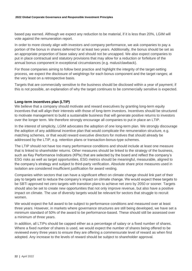based pay earned. Although we expect any reduction to be material, if it is less than 20%, LGIM will vote against the remuneration report.

In order to more closely align with investors and company performance, we ask companies to pay a portion of the bonus in shares deferred for at least two years. Additionally, the bonus should be set as an appropriate proportion of base salary and should not be uncapped. We also expect companies to put in place contractual and statutory provisions that may allow for a reduction or forfeiture of the annual bonus component in exceptional circumstances (e.g. malus/clawback).

For those companies aiming to follow best practice and highlight the integrity of the target-setting process, we expect the disclosure of weightings for each bonus component and the target ranges; at the very least on a retrospective basis.

Targets that are commercially sensitive to the business should be disclosed within a year of payment; if this is not possible, an explanation of why the target continues to be commercially sensitive is expected.

## <span id="page-21-0"></span>**Long-term incentives plan (LTIP)**

We believe that a company should motivate and reward executives by granting long-term equity incentives that will align their interests with those of long-term investors. Incentives should be structured to motivate management to build a sustainable business that will generate positive returns to investors over the longer term. We therefore strongly encourage all companies to put in place an LTIP.

In the interest of simplicity, LGIM advocates the adoption of one long-term plan. We strongly discourage the adoption of any additional incentive plan that would complicate the remuneration structure, e.g. matching schemes, or that would reward executive directors for motives that should already be addressed by the LTIP, e.g. retention plans or transaction-bonus-type schemes.

The LTIP should not have too many performance conditions and should include at least one measure that is linked to shareholder returns. Other measures should be linked to the strategy of the business, such as Key Performance Indicators (KPIs) that are selected by the board and reflect the company's ESG risks as well as target opportunities. ESG metrics should be meaningful, measurable, aligned to the company's strategy and subject to third-party verification. Absolute share price measures used in isolation are considered insufficient justification for award vesting.

Companies within sectors that can have a significant effect on climate change should link part of their pay to targets set to reduce the company's impact on climate change. We would expect these targets to be SBTi approved net zero targets with transition plans to achieve net zero by 2050 or sooner. Targets should also be set to create new opportunities that not only improve revenue, but also have a positive impact on climate. The use of diversity targets would be relevant for sectors that struggle to recruit women.

We would expect the full award to be subject to performance conditions and measured over at least three years. However, in markets where governance structures are still being developed, we have set a minimum standard of 50% of the award to be performance-based. These should still be assessed over a minimum of three years.

In addition, all LTIPs should be capped either as a percentage of salary or a fixed number of shares. Where a fixed number of shares is used, we would expect the number of shares being offered to be reviewed every three years to ensure they are offering a commensurate level of reward as when first adopted. Any increase to the levels of reward should be subject to shareholder approval.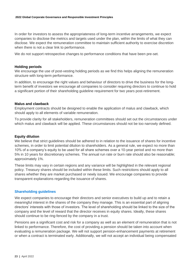In order for investors to assess the appropriateness of long-term incentive arrangements, we expect companies to disclose the metrics and targets used under the plan, within the limits of what they can disclose. We expect the remuneration committee to maintain sufficient authority to exercise discretion when there is not a clear link to performance.

We do not support retrospective changes to performance conditions that have been pre-set.

### <span id="page-22-0"></span>**Holding periods**

We encourage the use of post-vesting holding periods as we find this helps aligning the remuneration structure with long-term performance.

In addition, to encourage the right values and behaviour of directors to drive the business for the longterm benefit of investors we encourage all companies to consider requiring directors to continue to hold a significant portion of their shareholding guideline requirement for two years post-retirement.

### <span id="page-22-1"></span>**Malus and clawback**

Employment contracts should be designed to enable the application of malus and clawback, which should apply to all elements of variable remuneration.

To provide clarity for all stakeholders, remuneration committees should set out the circumstances under which malus and clawback will be applied. These circumstances should not be too narrowly defined.

#### <span id="page-22-2"></span>**Equity dilution**

We believe that strict guidelines should be adhered to in relation to the issuance of shares for incentive schemes, in order to limit potential dilution to shareholders. As a general rule, we expect no more than 10% of a company's equity to be used for all share schemes over a 10-year period and no more than 5% in 10 years for discretionary schemes. The annual run rate or burn rate should also be reasonable; approximately 1%.

These limits may vary in certain regions and any variance will be highlighted in the relevant regional policy. Treasury shares should be included within these limits. Such restrictions should apply to all shares whether they are market purchased or newly issued. We encourage companies to provide transparent explanations regarding the issuance of shares.

## <span id="page-22-3"></span>**Shareholding guidelines**

We expect companies to encourage their directors and senior executives to build up and to retain a meaningful interest in the shares of the company they manage. This is an essential part of aligning directors' interests with those of investors. The level of shareholding should be linked to the size of the company and the level of reward that the director receives in equity shares. Ideally, these shares should continue to be ring-fenced by the company in a trust.

Pensions are a significant cost and risk for a company as well as an element of remuneration that is not linked to performance. Therefore, the cost of providing a pension should be taken into account when evaluating a remuneration package. We will not support pension-enhancement payments at retirement or when a contract is terminated early. Additionally, we will not accept an individual being compensated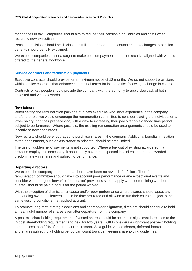for changes in tax. Companies should aim to reduce their pension fund liabilities and costs when recruiting new executives.

Pension provisions should be disclosed in full in the report and accounts and any changes to pension benefits should be fully explained.

We expect companies to set a target to make pension payments to their executive aligned with what is offered to the general workforce.

### <span id="page-23-0"></span>**Service contracts and termination payments**

Executive contracts should provide for a maximum notice of 12 months. We do not support provisions within service contracts that enhance contractual terms for loss of office following a change in control.

Contracts of key people should provide the company with the authority to apply clawback of both unvested and vested awards.

#### <span id="page-23-1"></span>**New joiners**

When setting the remuneration package of a new executive who lacks experience in the company and/or the role, we would encourage the remuneration committee to consider placing the individual on a lower salary than their predecessor, with a view to increasing their pay over an extended time period, subject to performance. Where possible, the existing remuneration arrangements should be used to incentivise new appointees.

New recruits should be encouraged to purchase shares in the company. Additional benefits in relation to the appointment, such as assistance to relocate, should be time limited.

The use of 'golden hello' payments is not supported. Where a buy-out of existing awards from a previous employer is necessary, it should only cover the expected loss of value, and be awarded predominately in shares and subject to performance.

#### <span id="page-23-2"></span>**Departing directors**

We expect the company to ensure that there have been no rewards for failure. Therefore, the remuneration committee should take into account poor performance or any exceptional events and consider whether 'good leaver' or 'bad leaver' provisions should apply when determining whether a director should be paid a bonus for the period worked.

With the exception of dismissal for cause and/or poor performance where awards should lapse, any outstanding awards of leavers should be time pro-rated and allowed to run their course subject to the same vesting conditions that applied at grant.

To promote long-term strategic decisions and shareholder alignment, directors should continue to hold a meaningful number of shares even after departure from the company.

A post-exit shareholding requirement of vested shares should be set that is significant in relation to the in-post shareholding requirement and held for two years. LGIM considers a significant post-exit holding to be no less than 80% of the in-post requirement. As a guide, vested shares, deferred bonus shares and shares subject to a holding period can count towards meeting shareholding guidelines.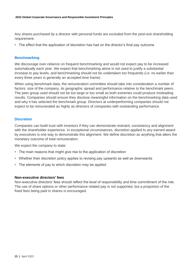Any shares purchased by a director with personal funds are excluded from the post-exit shareholding requirement.

• The effect that the application of discretion has had on the director's final pay outcome

### <span id="page-24-0"></span>**Benchmarking**

We discourage over-reliance on frequent benchmarking and would not expect pay to be increased automatically each year. We expect that benchmarking alone is not used to justify a substantial increase to pay levels, and benchmarking should not be undertaken too frequently (i.e. no earlier than every three years is generally an accepted time frame).

When using benchmark data, the remuneration committee should take into consideration a number of factors: size of the company, its geographic spread and performance relative to the benchmark peers. The peer group used should not be too large or too small as both extremes could produce misleading results. Companies should ensure they disclose meaningful information on the benchmarking data used and why it has selected the benchmark group. Directors at underperforming companies should not expect to be remunerated as highly as directors of companies with outstanding performance.

#### <span id="page-24-1"></span>**Discretion**

Companies can build trust with investors if they can demonstrate restraint, consistency and alignment with the shareholder experience. In exceptional circumstances, discretion applied to any earned award by executives is one way to demonstrate this alignment. We define discretion as anything that alters the monetary outcome of total remuneration.

We expect the company to state:

- The main reasons that might give rise to the application of discretion
- Whether their discretion policy applies to revising pay upwards as well as downwards
- The elements of pay to which discretion may be applied

#### <span id="page-24-2"></span>**Non-executive directors' fees**

Non-executive directors' fees should reflect the level of responsibility and time commitment of the role. The use of share options or other performance related pay is not supported, but a proportion of the fixed fees being paid in shares is encouraged.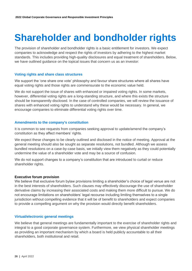## <span id="page-25-0"></span>**Shareholder and bondholder rights**

The provision of shareholder and bondholder rights is a basic entitlement for investors. We expect companies to acknowledge and respect the rights of investors by adhering to the highest market standards. This includes providing high-quality disclosures and equal treatment of shareholders. Below, we have outlined guidance on the topical issues that concern us as an investor:

## <span id="page-25-1"></span>**Voting rights and share class structures**

We support the 'one share one vote' philosophy and favour share structures where all shares have equal voting rights and those rights are commensurate to the economic value held.

We do not support the issue of shares with enhanced or impaired voting rights. In some markets, however, differential voting rights are a long-standing structure, and where this exists the structure should be transparently disclosed. In the case of controlled companies, we will review the issuance of shares with enhanced voting rights to understand why these would be necessary. In general, we encourage companies to eliminate differential voting rights over time.

### <span id="page-25-2"></span>**Amendments to the company's constitution**

It is common to see requests from companies seeking approval to update/amend the company's constitution as they affect members' rights.

We expect these changes to be clearly outlined and disclosed in the notice of meeting. Approval at the general meeting should also be sought as separate resolutions, not bundled. Although we assess bundled resolutions on a case-by-case basis, we initially view them negatively as they could potentially undermine the value of a shareholder vote and may be a source of confusion.

We do not support changes to a company's constitution that are introduced to curtail or reduce shareholder rights.

#### <span id="page-25-3"></span>**Executive forum provision**

We believe that exclusive forum bylaw provisions limiting a shareholder's choice of legal venue are not in the best interests of shareholders. Such clauses may effectively discourage the use of shareholder derivative claims by increasing their associated costs and making them more difficult to pursue. We do not encourage limitations on shareholders' legal recourse including limiting themselves to a single jurisdiction without compelling evidence that it will be of benefit to shareholders and expect companies to provide a compelling argument on why the provision would directly benefit shareholders.

#### <span id="page-25-4"></span>**Virtual/electronic general meetings**

We believe that general meetings are fundamentally important to the exercise of shareholder rights and integral to a good corporate governance system. Furthermore, we view physical shareholder meetings as providing an important mechanism by which a board is held publicly accountable to all their shareholders, both institutional and retail.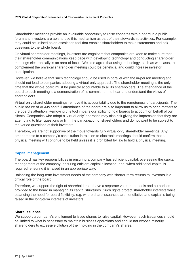Shareholder meetings provide an invaluable opportunity to raise concerns with a board in a public forum and investors are able to use this mechanism as part of their stewardship activities. For example, they could be utilised as an escalation tool that enables shareholders to make statements and ask questions to the whole board.

On virtual shareholder meetings, investors are cognisant that companies are keen to make sure that their shareholder communications keep pace with developing technology and conducting shareholder meetings electronically is an area of focus. We also agree that using technology, such as webcasts, to complement the physical shareholder meeting could be beneficial and could increase investor participation.

However, we believe that such technology should be used in parallel with the in-person meeting and should not lead to companies adopting a virtual-only approach. The shareholder meeting is the only time that the whole board must be publicly accountable to all its shareholders. The attendance of the board to such meeting is a demonstration of its commitment to hear and understand the views of shareholders.

Virtual-only shareholder meetings remove this accountability due to the remoteness of participants. The public nature of AGMs and full attendance of the board are also important to allow us to bring matters to the board's attention. Removing this tool impairs our ability to hold boards to account on behalf of our clients. Companies who adopt a 'virtual-only' approach may also risk giving the impression that they are attempting to filter questions or limit the participation of shareholders and do not want to be subject to the varied questions of their investors.

Therefore, we are not supportive of the move towards fully virtual-only shareholder meetings. Any amendments to a company's constitution in relation to electronic meetings should confirm that a physical meeting will continue to be held unless it is prohibited by law to hold a physical meeting.

## <span id="page-26-0"></span>**Capital management**

The board has key responsibilities in ensuring a company has sufficient capital; overseeing the capital management of the company; ensuring efficient capital allocation; and, when additional capital is required, ensuring it is raised in an appropriate way.

Balancing the long-term investment needs of the company with shorter-term returns to investors is a critical role of the board.

Therefore, we support the right of shareholders to have a separate vote on the tools and authorities provided to the board in managing its capital structures. Such rights protect shareholder interests while balancing the need for board flexibility; e.g. where share issuances are not dilutive and capital is being raised in the long-term interests of investors.

## <span id="page-26-1"></span>**Share issuance**

We support a company's entitlement to issue shares to raise capital. However, such issuances should be limited to what is necessary to maintain business operations and should not expose minority shareholders to excessive dilution of their holding in the company's shares.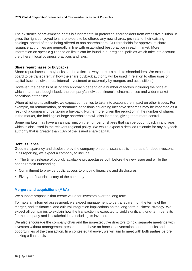The existence of pre-emption rights is fundamental in protecting shareholders from excessive dilution. It gives the right conveyed to shareholders to be offered any new shares, pro-rata to their existing holdings, ahead of these being offered to non-shareholders. Our thresholds for approval of share issuance authorities are generally in line with established best practice in each market. More information on specific guidance on limits can be found in our regional policies which take into account the different local business practices and laws.

### <span id="page-27-0"></span>**Share repurchases or buybacks**

Share repurchases or buybacks can be a flexible way to return cash to shareholders. We expect the board to be transparent in how the share buyback authority will be used in relation to other uses of capital (such as dividends, internal investment or externally by mergers and acquisitions).

However, the benefits of using this approach depend on a number of factors including the price at which shares are bought back, the company's individual financial circumstances and wider market conditions at the time.

When utilising this authority, we expect companies to take into account the impact on other issues. For example, on remuneration, performance conditions governing incentive schemes may be impacted as a result of a company undertaking a buyback. Furthermore, given the reduction in the number of shares in the market, the holdings of large shareholders will also increase, giving them more control.

Some markets may have an annual limit on the number of shares that can be bought back in any year, which is discussed in the relevant regional policy. We would expect a detailed rationale for any buyback authority that is greater than 10% of the issued share capital.

#### <span id="page-27-1"></span>**Debt issuance**

Good transparency and disclosure by the company on bond issuances is important for debt investors. In its reporting, we expect a company to include:

- The timely release of publicly availabile prospectuses both before the new issue and while the bonds remain outstanding
- Commitment to provide public access to ongoing financials and disclosures
- Five-year financial history of the company

#### <span id="page-27-2"></span>**Mergers and acquisitions (M&A)**

We support proposals that create value for investors over the long term.

To make an informed assessment, we expect management to be transparent on the terms of the merger, and its financial and cultural integration implications on the long-term business strategy. We expect all companies to explain how the transaction is expected to yield significant long-term benefits for the company and its stakeholders, including its investors.

We also encourage the company chair and the non-executive directors to hold separate meetings with investors without management present, and to have an honest conversation about the risks and opportunities of the transaction. In a contested takeover, we will aim to meet with both parties before making a final decision.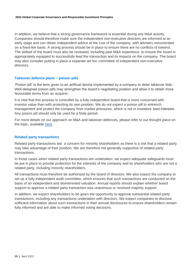In addition, we believe that a strong governance framework is essential during any M&A activity. Companies should therefore make sure the independent non-executive directors are informed at an early stage and can obtain independent advice at the cost of the company, with advisers remunerated on a fixed-fee basis. A strong process should be in place to ensure there are no conflicts of interest. The skillset of the board must also be reviewed, including past M&A experience, to ensure the board is appropriately equipped to successfully lead the transaction and its impacts on the company. The board may also consider putting in place a separate ad hoc committee of independent non-executive directors.

### <span id="page-28-0"></span>**Takeover defence plans – poison pills**

'Poison pill' is the term given to an artificial device implemented by a company to deter takeover bids. Well-designed poison pills may strengthen the board's negotiating position and allow it to obtain more favourable terms from an acquirer.

It is vital that this process is controlled by a fully independent board that is more concerned with investor value than with protecting its own position. We do not expect a poison pill to entrench management and protect the company from market pressures, which is not in investors' best interests. Any poison pill should only be used for a finite period.

For more details on our approach on M&A and takeover defences, please refer to our thought piece on the topic, available [here.](https://www.lgim.com/landg-assets/lgim/_document-library/capabilities/a-guide-to-mergers-and-acquisitions-board-oversight.pdf)

### <span id="page-28-1"></span>**Related party transactions**

Related party transactions are a concern for minority shareholders as there is a risk that a related party may take advantage of their position. We are therefore not generally supportive of related party transactions.

In those cases when related party transactions are undertaken, we expect adequate safeguards must be put in place to provide protection for the interests of the company and its shareholders who are not a related party, including minority shareholders.

All transactions must therefore be authorised by the board of directors. We also expect the company to set up a fully independent audit committee, which ensures that such transactions are conducted on the basis of an independent and disinterested valuation. Annual reports should explain whether board support to approve a related party transaction was unanimous or received majority support.

In addition, we expect shareholders to be given the opportunity to approve substantial related-party transactions, including any transactions undertaken with directors. We expect companies to disclose sufficient information about such transactions in their annual disclosures to ensure shareholders remain fully informed and are able to make informed voting decisions.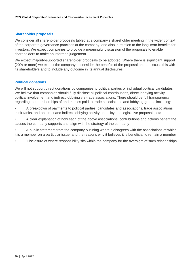## <span id="page-29-0"></span>**Shareholder proposals**

We consider all shareholder proposals tabled at a company's shareholder meeting in the wider context of the corporate governance practices at the company, and also in relation to the long-term benefits for investors. We expect companies to provide a meaningful discussion of the proposals to enable shareholders to make an informed judgement.

We expect majority-supported shareholder proposals to be adopted. Where there is significant support (20% or more) we expect the company to consider the benefits of the proposal and to discuss this with its shareholders and to include any outcome in its annual disclosures.

## <span id="page-29-1"></span>**Political donations**

We will not support direct donations by companies to political parties or individual political candidates. We believe that companies should fully disclose all political contributions, direct lobbying activity, political involvement and indirect lobbying via trade associations. There should be full transparency regarding the memberships of and monies paid to trade associations and lobbying groups including:

- A breakdown of payments to political parties, candidates and associations, trade associations, think-tanks, and on direct and indirect lobbying activity on policy and legislative proposals, etc
- A clear explanation of how each of the above associations, contributions and actions benefit the causes the company supports and align with the strategy of the company
- A public statement from the company outlining where it disagrees with the associations of which it is a member on a particular issue, and the reasons why it believes it is beneficial to remain a member
- Disclosure of where responsibility sits within the company for the oversight of such relationships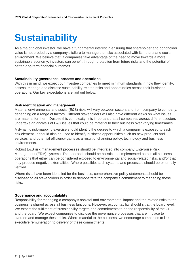## <span id="page-30-0"></span>**Sustainability**

As a major global investor, we have a fundamental interest in ensuring that shareholder and bondholder value is not eroded by a company's failure to manage the risks associated with its natural and social environment. We believe that, if companies take advantage of the need to move towards a more sustainable economy, investors can benefit through protection from future risks and the potential of better long-term financial outcomes.

#### <span id="page-30-1"></span>**Sustainability governance, process and operations**

With this in mind, we expect our investee companies to meet minimum standards in how they identify, assess, manage and disclose sustainability-related risks and opportunities across their business operations. Our key expectations are laid out below:

### <span id="page-30-2"></span>**Risk identification and management**

Material environmental and social (E&S) risks will vary between sectors and from company to company, depending on a range of factors. Different stakeholders will also have different views on what issues are material for them. Despite this complexity, it is important that all companies across different sectors undertake an analysis of E&S issues that could be material to their business over varying timeframes.

A dynamic risk-mapping exercise should identify the degree to which a company is exposed to each risk element. It should also be used to identify business opportunities such as new products and services, and potential efficiency gains as a result of changing policy, technology and business environments.

Robust E&S risk management processes should be integrated into company Enterprise Risk Management (ERM) systems. The approach should be holistic and implemented across all business operations that either can be considered exposed to environmental and social-related risks, and/or that may produce negative externalities. Where possible, such systems and processes should be externally verified.

Where risks have been identified for the business, comprehensive policy statements should be disclosed to all stakeholders in order to demonstrate the company's commitment to managing these risks.

#### <span id="page-30-3"></span>**Governance and accountability**

Responsibility for managing a company's societal and environmental impact and the related risks to the business is shared across all business functions. However, accountability should sit at the board level. We expect the fulfilment of sustainability targets and commitments to be the responsibility of the CEO and the board. We expect companies to disclose the governance processes that are in place to oversee and manage these risks. Where material to the business, we encourage companies to link executive remuneration to delivery of these commitments.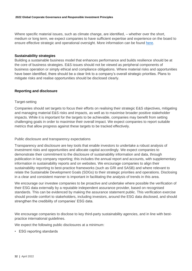Where specific material issues, such as climate change, are identified, – whether over the short, medium or long term, we expect companies to have sufficient expertise and experience on the board to ensure effective strategic and operational oversight. More information can be found [here.](https://www.lgim.com/landg-assets/lgim/_document-library/capabilities/a-guide-to-climate-governance.pdf)

#### <span id="page-31-0"></span>**Sustainability strategies**

Building a sustainable business model that enhances performance and builds resilience should be at the core of business strategies. E&S issues should not be viewed as peripheral components of business operation or simply ethical and compliance obligations. Where material risks and opportunities have been identified, there should be a clear link to a company's overall strategic priorities. Plans to mitigate risks and realise opportunities should be disclosed clearly.

### <span id="page-31-1"></span>**Reporting and disclosure**

### Target-setting

Companies should set targets to focus their efforts on realising their strategic E&S objectives, mitigating and managing material E&S risks and impacts, as well as to maximise broader positive stakeholder impacts. While it is important for the targets to be achievable, companies may benefit from setting challenging goals in order to maximise their overall impact. We expect companies to report suitable metrics that allow progress against these targets to be tracked effectively.

#### Public disclosure and transparency expectations

Transparency and disclosure are key tools that enable investors to undertake a robust analysis of investment risks and opportunities and allocate capital accordingly. We expect companies to demonstrate their commitment to the disclosure of sustainability information and data, through publication in key company reporting; this includes the annual report and accounts, with supplementary information in sustainability reports and on websites. We encourage companies to align their sustainability reporting to best-practice frameworks (such as GRI and SASB) and where relevant to relate the Sustainable Development Goals (SDGs) to their strategic priorities and operations. Disclosing in a clear and consistent manner is important in facilitating the analysis of trends in this area.

We encourage our investee companies to be proactive and undertake where possible the verification of their ESG data externally by a reputable independent assurance provider, based on recognised standards. This can be evidenced by making the assurance statement public. This verification exercise should provide comfort to stakeholders, including investors, around the ESG data disclosed, and should strengthen the credibility of companies' ESG data.

We encourage companies to disclose to key third-party sustainability agencies, and in line with bestpractice international guidelines.

We expect the following public disclosures at a minimum:

• ESG reporting standards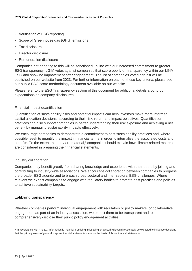- Verification of ESG reporting
- Scope of Greenhouse gas (GHG) emissions
- Tax disclosure
- Director disclosure
- Remuneration disclosure

Companies not adhering to this will be sanctioned. In line with our increased commitment to greater ESG transparency. LGIM votes against companies that score poorly on transparency within our LGIM ESG and show no improvement after engagement. The list of companies voted against will be published on our website from 2023. For further information on each of these key criteria, please see our public ESG score methodology document available on our website.

Please refer to the ESG Transparency section of this document for additional details around our expectations on company disclosures.

### Financial impact quantification

Quantification of sustainability risks and potential impacts can help investors make more informed capital allocation decisions, according to their risk, return and impact objectives. Quantification practices can also support companies in better understanding their risk exposure and achieving a net benefit by managing sustainability impacts effectively.

We encourage companies to demonstrate a commitment to best sustainability practices and, where possible, seek to quantify the impact in financial terms in order to internalise the associated costs and benefits. To the extent that they are material, $1$  companies should explain how climate-related matters are considered in preparing their financial statements.

#### Industry collaboration

Companies may benefit greatly from sharing knowledge and experience with their peers by joining and contributing to industry-wide associations. We encourage collaboration between companies to progress the broader ESG agenda and to broach cross-sectoral and inter-sectoral ESG challenges. Where relevant we expect companies to engage with regulatory bodies to promote best practices and policies to achieve sustainability targets.

## <span id="page-32-0"></span>**Lobbying transparency**

Whether companies perform individual engagement with regulators or policy makers, or collaborative engagement as part of an industry association, we expect them to be transparent and to comprehensively disclose their public policy engagement activities.

<sup>&</sup>lt;sup>1</sup> In accordance with IAS 1.7, information is material if omitting, misstating or obscuring it could reasonably be expected to influence decisions that the primary users of general purpose financial statements make on the basis of those financial statements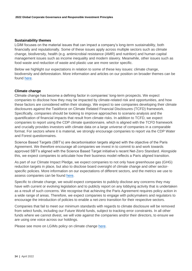#### <span id="page-33-0"></span>**Sustainability themes**

LGIM focuses on the material issues that can impact a company's long-term sustainability, both financially and reputationally. Some of these issues apply across multiple sectors such as climate change, biodiversity, health (e.g. antimicrobial resistance (AMR) and nutrition) and human capital management issues such as income inequality and modern slavery. Meanwhile, other issues such as food waste and reduction of waste and plastic use are more sector specific.

Below we highlight our expectations in relation to some of these key issues: climate change, biodiversity and deforestation. More information and articles on our position on broader themes can be found [here.](https://www.lgim.com/uk/en/capabilities/investment-stewardship/influencing-the-debate/)

#### <span id="page-33-1"></span>**Climate change**

Climate change has become a defining factor in companies' long-term prospects. We expect companies to disclose how they may be impacted by climate-related risk and opportunities, and how these factors are considered within their strategy. We expect to see companies developing their climate disclosures against the Taskforce on Climate Related Financial Disclosures (TCFD) framework. Specifically, companies should be looking to improve approaches to scenario analysis and the quantification of financial impacts that result from climate risks. In addition to TCFD, we expect companies to report using the CDP climate questionnaire, which is aligned with the TCFD framework and crucially provides investors with climate data on a large universe of companies in a comparable format. For sectors where it is material, we strongly encourage companies to report via the CDP Water and Forest questionnaires.

Science Based Targets (SBT's) are decarbonisation targets aligned with the objective of the Paris Agreement. We therefore encourage all companies we invest in to commit to and work towards approved SBT's aligned with the Science Based Target initiative's recent Net-Zero Standard. Alongside this, we expect companies to articulate how their business model reflects a Paris aligned transition.

As part of our Climate Impact Pledge, we expect companies to not only have greenhouse gas (GHG) reduction targets in place, but also to disclose board oversight of climate change and other sectorspecific policies. More information on our expectations of different sectors, and the metrics we use to assess companies can be found [here.](https://www.lgim.com/uk/en/responsible-investing/climate-impact-pledge/)

Specific to climate change, we would expect companies to publicly disclose any concerns they may have with current or evolving legislation and to publicly report on any lobbying activity that is undertaken as a result of such concerns. We recognise that achieving the Paris Agreement requires policy action in a wide range of areas. Therefore, we expect companies to engage with policymakers and regulators to encourage the introduction of policies to enable a net-zero transition for their respective sectors.

Companies that fail to meet our minimum standards with regards to climate disclosure will be removed from select funds, including our Future World funds, subject to tracking error constraints. In all other funds where we cannot divest, we will vote against the companies and/or their directors, to ensure we are using one voice across our holdings.

Please see more on LGIMs policy on climate change [here.](https://www.lgim.com/landg-assets/lgim/_document-library/capabilities/lgim-climate-change-policy.pdf)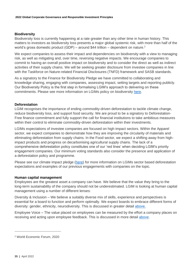## <span id="page-34-0"></span>**Biodiversity**

Biodiversity loss is currently happening at a rate greater than any other time in human history. This matters to investors as biodiversity loss presents a major global systemic risk, with more than half of the world's gross domestic product (GDP) – around \$44 trillion – dependent on nature.<sup>2</sup>

We expect companies to assess their impact and dependencies on biodiversity with a view to managing risk, as well as mitigating and, over time, reversing negative impacts. We encourage companies to commit to having an overall positive impact on biodiversity and to consider the direct as well as indirect activities of their supply chains. We will be seeking greater disclosure from investee companies in line with the Taskforce on Nature-related Financial Disclosures (TNFD) framework and SASB standards.

As a signatory to the Finance for Biodiversity Pledge we have committed to collaborating and knowledge sharing, engaging with companies, assessing impact, setting targets and reporting publicly. Our Biodiversity Policy is the first step in formalising LGIM's approach to delivering on these commitments. Please see more information on LGIMs policy on biodiversity [here.](https://www.lgim.com/landg-assets/lgim/_document-library/capabilities/lgim-biodiversity-policy.pdf)

## <span id="page-34-1"></span>**Deforestation**

LGIM recognises the importance of ending commodity-driven deforestation to tackle climate change, reduce biodiversity loss, and support food security. We are proud to be a signatory to Deforestation-Free finance commitment and fully support the call for financial institutions to take ambitious measures within their control to eliminate commodity-driven deforestation within their investments.

LGIMs expectations of investee companies are focused on high impact sectors. Within the Apparel sector, we expect companies to demonstrate how they are improving the circularity of materials and eliminating deforestation from supply chains. In the Food sector, we expect a shifting away from highimpact products and progress on decarbonising agricultural supply chains. The lack of a comprehensive deforestation policy constitutes one of our 'red lines' when deciding LGIM's priority engagement companies. Our minimum voting standards also consider the presence and application of a deforestation policy and programme.

Please see our climate impact pledge [\(here\)](https://www.lgim.com/uk/en/responsible-investing/climate-impact-pledge/) for more information on LGIMs sector based deforestation expectations and examples of our previous engagements with companies on the topic.

#### <span id="page-34-2"></span>**Human capital management**

Employees are the greatest asset a company can have. We believe that the value they bring to the long-term sustainability of the company should not be underestimated. LGIM is looking at human capital management using a number of different lenses:

Diversity & Inclusion – We believe a suitably diverse mix of skills, experience and perspectives is essential for a board to function and perform optimally. We expect boards to embrace different forms of diversity: gender, ethnicity, neurodiversity. This is discussed in greater detail [above.](#page-8-2) 

Employee Voice – The value placed on employees can be measured by the effort a company places on receiving and acting upon employee feedback. This is discussed in more detail [above.](#page-13-2)

<sup>2</sup> World Economic Forum, 2020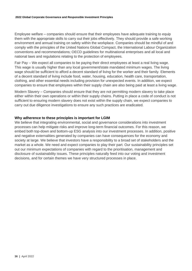Employee welfare – companies should ensure that their employees have adequate training to equip them with the appropriate skills to carry out their jobs effectively. They should provide a safe working environment and annual training on safety within the workplace. Companies should be mindful of and comply with the principles of the United Nations Global Compact, the International Labour Organization conventions and recommendations; OECD guidelines for multinational enterprises and all local and national laws and regulations relating to the protection of employees.

Fair Pay – We expect all companies to be paying their direct employees at least a real living wage. This wage is usually higher than any local government/state mandated minimum wages. The living wage should be sufficient to afford a decent standard of living for the worker and their family. Elements of a decent standard of living include food, water, housing, education, health care, transportation, clothing, and other essential needs including provision for unexpected events. In addition, we expect companies to ensure that employees within their supply chain are also being paid at least a living wage.

Modern Slavery – Companies should ensure that they are not permitting modern slavery to take place either within their own operations or within their supply chains. Putting in place a code of conduct is not sufficient to ensuring modern slavery does not exist within the supply chain, we expect companies to carry out due diligence investigations to ensure any such practices are eradicated.

### <span id="page-35-0"></span>**Why adherence to these principles is important for LGIM**

We believe that integrating environmental, social and governance considerations into investment processes can help mitigate risks and improve long-term financial outcomes. For this reason, we embed both top-down and bottom-up ESG analysis into our investment processes. In addition, positive and negative externalities generated by companies can have consequences for the economy and society at large. We believe that investors have a responsibility to a broad set of stakeholders and the market as a whole. We need and expect companies to play their part. Our sustainability principles set out our minimum expectations of companies with regard to the prioritisation, management and disclosure of sustainability issues. These principles naturally feed into our voting and investment decisions, and for certain themes we have very structured processes in place.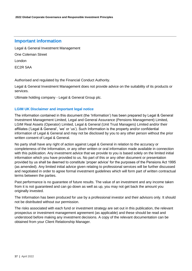## **Important information**

Legal & General Investment Management

One Coleman Street

London

EC2R 5AA

Authorised and regulated by the Financial Conduct Authority.

Legal & General Investment Management does not provide advice on the suitability of its products or services.

Ultimate holding company - Legal & General Group plc.

## **LGIM UK Disclaimer and important legal notice**

The information contained in this document (the 'Information') has been prepared by Legal & General Investment Management Limited, Legal and General Assurance (Pensions Management) Limited, LGIM Real Assets (Operator) Limited, Legal & General (Unit Trust Managers) Limited and/or their affiliates ('Legal & General', 'we' or 'us'). Such Information is the property and/or confidential information of Legal & General and may not be disclosed by you to any other person without the prior written consent of Legal & General.

No party shall have any right of action against Legal & General in relation to the accuracy or completeness of the Information, or any other written or oral information made available in connection with this publication. Any investment advice that we provide to you is based solely on the limited initial information which you have provided to us. No part of this or any other document or presentation provided by us shall be deemed to constitute 'proper advice' for the purposes of the Pensions Act 1995 (as amended). Any limited initial advice given relating to professional services will be further discussed and negotiated in order to agree formal investment guidelines which will form part of written contractual terms between the parties.

Past performance is no guarantee of future results. The value of an investment and any income taken from it is not guaranteed and can go down as well as up, you may not get back the amount you originally invested.

The Information has been produced for use by a professional investor and their advisors only. It should not be distributed without our permission.

The risks associated with each fund or investment strategy are set out in this publication, the relevant prospectus or investment management agreement (as applicable) and these should be read and understood before making any investment decisions. A copy of the relevant documentation can be obtained from your Client Relationship Manager.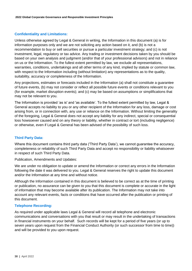## **Confidentiality and Limitations:**

Unless otherwise agreed by Legal & General in writing, the Information in this document (a) is for information purposes only and we are not soliciting any action based on it, and (b) is not a recommendation to buy or sell securities or pursue a particular investment strategy; and (c) is not investment, legal, regulatory or tax advice. Any trading or investment decisions taken by you should be based on your own analysis and judgment (and/or that of your professional advisors) and not in reliance on us or the Information. To the fullest extent permitted by law, we exclude all representations, warranties, conditions, undertakings and all other terms of any kind, implied by statute or common law, with respect to the Information including (without limitation) any representations as to the quality, suitability, accuracy or completeness of the Information.

Any projections, estimates or forecasts included in the Information (a) shall not constitute a guarantee of future events, (b) may not consider or reflect all possible future events or conditions relevant to you (for example, market disruption events); and (c) may be based on assumptions or simplifications that may not be relevant to you.

The Information is provided 'as is' and 'as available'. To the fullest extent permitted by law, Legal & General accepts no liability to you or any other recipient of the Information for any loss, damage or cost arising from, or in connection with, any use or reliance on the Information. Without limiting the generality of the foregoing, Legal & General does not accept any liability for any indirect, special or consequential loss howsoever caused and on any theory or liability, whether in contract or tort (including negligence) or otherwise, even if Legal & General has been advised of the possibility of such loss.

## **Third Party Data:**

Where this document contains third party data ('Third Party Data'), we cannot guarantee the accuracy, completeness or reliability of such Third Party Data and accept no responsibility or liability whatsoever in respect of such Third Party Data.

Publication, Amendments and Updates:

We are under no obligation to update or amend the Information or correct any errors in the Information following the date it was delivered to you. Legal & General reserves the right to update this document and/or the Information at any time and without notice.

Although the Information contained in this document is believed to be correct as at the time of printing or publication, no assurance can be given to you that this document is complete or accurate in the light of information that may become available after its publication. The Information may not take into account any relevant events, facts or conditions that have occurred after the publication or printing of this document.

## **Telephone Recording:**

As required under applicable laws Legal & General will record all telephone and electronic communications and conversations with you that result or may result in the undertaking of transactions in financial instruments on your behalf. Such records will be kept for a period of five years (or up to seven years upon request from the Financial Conduct Authority (or such successor from time to time)) and will be provided to you upon request.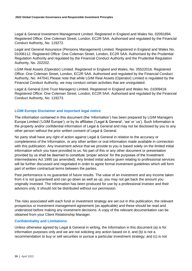Legal & General Investment Management Limited. Registered in England and Wales No. 02091894. Registered Office: One Coleman Street, London, EC2R 5AA. Authorised and regulated by the Financial Conduct Authority, No. 119272.

Legal and General Assurance (Pensions Management) Limited. Registered in England and Wales No. 01006112. Registered Office: One Coleman Street, London, EC2R 5AA. Authorised by the Prudential Regulation Authority and regulated by the Financial Conduct Authority and the Prudential Regulation Authority, No. 202202.

LGIM Real Assets (Operator) Limited. Registered in England and Wales, No. 05522016. Registered Office: One Coleman Street, London, EC2R 5AA. Authorised and regulated by the Financial Conduct Authority, No. 447041.Please note that while LGIM Real Assets (Operator) Limited is regulated by the Financial Conduct Authority, we may conduct certain activities that are unregulated.

Legal & General (Unit Trust Managers) Limited. Registered in England and Wales No. 01009418. Registered Office: One Coleman Street, London, EC2R 5AA. Authorised and regulated by the Financial Conduct Authority, No. 119273.

## **LGIM Europe Disclaimer and important legal notice**

The information contained in this document (the 'Information') has been prepared by LGIM Managers Europe Limited ('LGIM Europe'), or by its affiliates ('Legal & General', 'we' or 'us'). Such Information is the property and/or confidential information of Legal & General and may not be disclosed by you to any other person without the prior written consent of Legal & General.

No party shall have any right of action against Legal & General in relation to the accuracy or completeness of the Information, or any other written or oral information made available in connection with this publication. Any investment advice that we provide to you is based solely on the limited initial information which you have provided to us. No part of this or any other document or presentation provided by us shall be deemed to constitute 'proper advice' for the purposes of the Investment Intermediaries Act 1995 (as amended). Any limited initial advice given relating to professional services will be further discussed and negotiated in order to agree formal investment guidelines which will form part of written contractual terms between the parties.

Past performance is no guarantee of future results. The value of an investment and any income taken from it is not guaranteed and can go down as well as up, you may not get back the amount you originally invested. The Information has been produced for use by a professional investor and their advisors only. It should not be distributed without our permission.

The risks associated with each fund or investment strategy are set out in this publication, the relevant prospectus or investment management agreement (as applicable) and these should be read and understood before making any investment decisions. A copy of the relevant documentation can be obtained from your Client Relationship Manager.

## **Confidentiality and Limitations:**

Unless otherwise agreed by Legal & General in writing, the Information in this document (a) is for information purposes only and we are not soliciting any action based on it, and (b) is not a recommendation to buy or sell securities or pursue a particular investment strategy; and (c) is not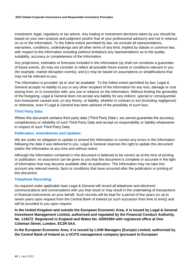investment, legal, regulatory or tax advice. Any trading or investment decisions taken by you should be based on your own analysis and judgment (and/or that of your professional advisors) and not in reliance on us or the Information. To the fullest extent permitted by law, we exclude all representations, warranties, conditions, undertakings and all other terms of any kind, implied by statute or common law, with respect to the Information including (without limitation) any representations as to the quality, suitability, accuracy or completeness of the Information.

Any projections, estimates or forecasts included in the Information (a) shall not constitute a guarantee of future events, (b) may not consider or reflect all possible future events or conditions relevant to you (for example, market disruption events); and (c) may be based on assumptions or simplifications that may not be relevant to you.

The Information is provided 'as is' and 'as available'. To the fullest extent permitted by law, Legal & General accepts no liability to you or any other recipient of the Information for any loss, damage or cost arising from, or in connection with, any use or reliance on the Information. Without limiting the generality of the foregoing, Legal & General does not accept any liability for any indirect, special or consequential loss howsoever caused and, on any theory, or liability, whether in contract or tort (including negligence) or otherwise, even if Legal & General has been advised of the possibility of such loss.

## **Third Party Data:**

Where this document contains third party data ('Third Party Data'), we cannot guarantee the accuracy, completeness or reliability of such Third-Party Data and accept no responsibility or liability whatsoever in respect of such Third-Party Data.

### **Publication, Amendments and Updates:**

We are under no obligation to update or amend the Information or correct any errors in the Information following the date it was delivered to you. Legal & General reserves the right to update this document and/or the Information at any time and without notice.

Although the Information contained in this document is believed to be correct as at the time of printing or publication, no assurance can be given to you that this document is complete or accurate in the light of information that may become available after its publication. The Information may not take into account any relevant events, facts or conditions that have occurred after the publication or printing of this document.

## **Telephone Recording:**

As required under applicable laws Legal & General will record all telephone and electronic communications and conversations with you that result or may result in the undertaking of transactions in financial instruments on your behalf. Such records will be kept for a period of five years (or up to seven years upon request from the Central Bank of Ireland (or such successor from time to time)) and will be provided to you upon request.

**In the United Kingdom and outside the European Economic Area, it is issued by Legal & General Investment Management Limited, authorised and regulated by the Financial Conduct Authority, No. 119272. Registered in England and Wales No. 02091894 with registered office at One Coleman Street, London, EC2R 5AA.** 

**In the European Economic Area, it is issued by LGIM Managers (Europe) Limited, authorised by the Central Bank of Ireland as a UCITS management company (pursuant to European**